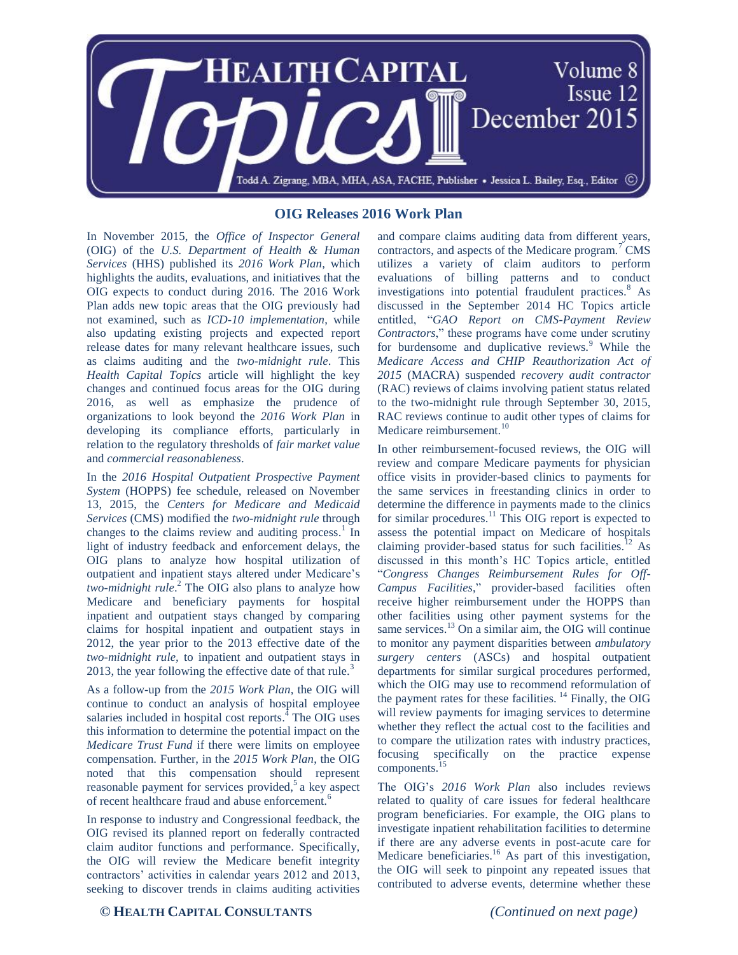

## **OIG Releases 2016 Work Plan**

In November 2015, the *Office of Inspector General* (OIG) of the *U.S. Department of Health & Human Services* (HHS) published its *2016 Work Plan*, which highlights the audits, evaluations, and initiatives that the OIG expects to conduct during 2016. The 2016 Work Plan adds new topic areas that the OIG previously had not examined, such as *ICD-10 implementation*, while also updating existing projects and expected report release dates for many relevant healthcare issues, such as claims auditing and the *two-midnight rule*. This *Health Capital Topics* article will highlight the key changes and continued focus areas for the OIG during 2016, as well as emphasize the prudence of organizations to look beyond the *2016 Work Plan* in developing its compliance efforts, particularly in relation to the regulatory thresholds of *fair market value* and *commercial reasonableness*.

In the *2016 Hospital Outpatient Prospective Payment System* (HOPPS) fee schedule, released on November 13, 2015, the *Centers for Medicare and Medicaid Services* (CMS) modified the *two-midnight rule* through changes to the claims review and auditing process.<sup>1</sup> In light of industry feedback and enforcement delays, the OIG plans to analyze how hospital utilization of outpatient and inpatient stays altered under Medicare's *two-midnight rule*. <sup>2</sup> The OIG also plans to analyze how Medicare and beneficiary payments for hospital inpatient and outpatient stays changed by comparing claims for hospital inpatient and outpatient stays in 2012, the year prior to the 2013 effective date of the *two-midnight rule,* to inpatient and outpatient stays in 2013, the year following the effective date of that rule.<sup>3</sup>

As a follow-up from the *2015 Work Plan*, the OIG will continue to conduct an analysis of hospital employee salaries included in hospital cost reports.<sup>4</sup> The OIG uses this information to determine the potential impact on the *Medicare Trust Fund* if there were limits on employee compensation. Further, in the *2015 Work Plan*, the OIG noted that this compensation should represent reasonable payment for services provided,<sup>5</sup> a key aspect of recent healthcare fraud and abuse enforcement.<sup>6</sup>

In response to industry and Congressional feedback, the OIG revised its planned report on federally contracted claim auditor functions and performance. Specifically, the OIG will review the Medicare benefit integrity contractors' activities in calendar years 2012 and 2013, seeking to discover trends in claims auditing activities

and compare claims auditing data from different years, contractors, and aspects of the Medicare program.<sup>7</sup> CMS utilizes a variety of claim auditors to perform evaluations of billing patterns and to conduct investigations into potential fraudulent practices.<sup>8</sup> As discussed in the September 2014 HC Topics article entitled, "*GAO Report on CMS-Payment Review Contractors*," these programs have come under scrutiny for burdensome and duplicative reviews. $9$  While the *Medicare Access and CHIP Reauthorization Act of 2015* (MACRA) suspended *recovery audit contractor* (RAC) reviews of claims involving patient status related to the two-midnight rule through September 30, 2015, RAC reviews continue to audit other types of claims for Medicare reimbursement.<sup>10</sup>

In other reimbursement-focused reviews, the OIG will review and compare Medicare payments for physician office visits in provider-based clinics to payments for the same services in freestanding clinics in order to determine the difference in payments made to the clinics for similar procedures.<sup>11</sup> This OIG report is expected to assess the potential impact on Medicare of hospitals claiming provider-based status for such facilities.<sup>12</sup> As discussed in this month's HC Topics article, entitled "*Congress Changes Reimbursement Rules for Off-Campus Facilities*," provider-based facilities often receive higher reimbursement under the HOPPS than other facilities using other payment systems for the same services.<sup>13</sup> On a similar aim, the OIG will continue to monitor any payment disparities between *ambulatory surgery centers* (ASCs) and hospital outpatient departments for similar surgical procedures performed, which the OIG may use to recommend reformulation of the payment rates for these facilities.  $^{14}$  Finally, the OIG will review payments for imaging services to determine whether they reflect the actual cost to the facilities and to compare the utilization rates with industry practices, focusing specifically on the practice expense components.<sup>15</sup>

The OIG's *2016 Work Plan* also includes reviews related to quality of care issues for federal healthcare program beneficiaries. For example, the OIG plans to investigate inpatient rehabilitation facilities to determine if there are any adverse events in post-acute care for Medicare beneficiaries.<sup>16</sup> As part of this investigation, the OIG will seek to pinpoint any repeated issues that contributed to adverse events, determine whether these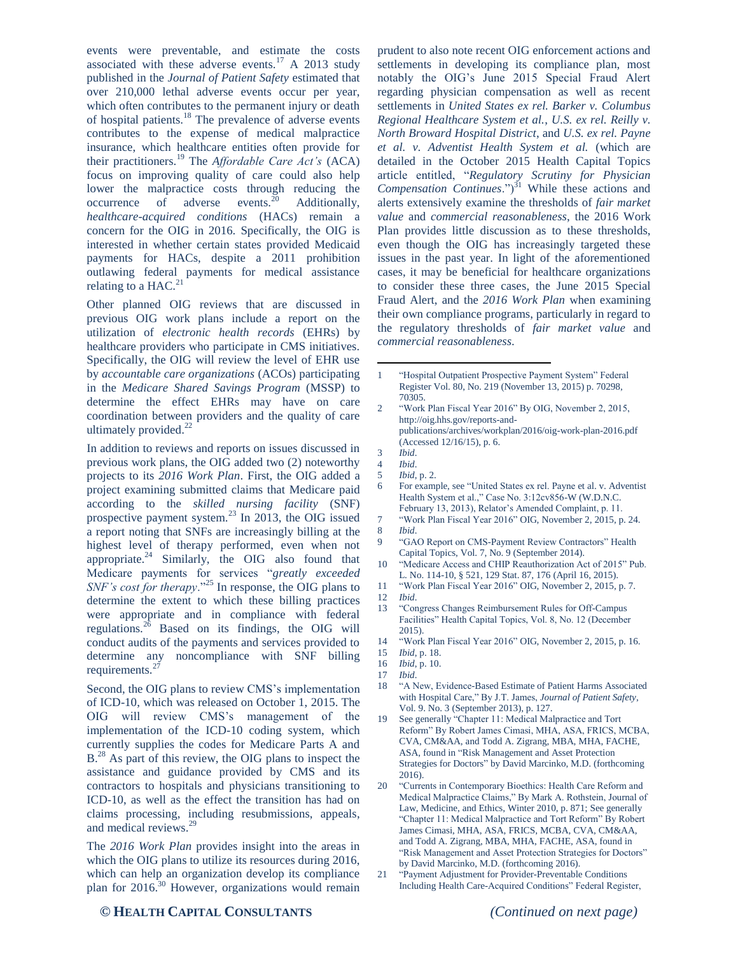events were preventable, and estimate the costs associated with these adverse events.<sup>17</sup> A 2013 study published in the *Journal of Patient Safety* estimated that over 210,000 lethal adverse events occur per year, which often contributes to the permanent injury or death of hospital patients. <sup>18</sup> The prevalence of adverse events contributes to the expense of medical malpractice insurance, which healthcare entities often provide for their practitioners.<sup>19</sup> The *Affordable Care Act's* (ACA) focus on improving quality of care could also help lower the malpractice costs through reducing the occurrence of adverse events.<sup>20</sup> Additionally, occurrence of adverse events.<sup>20</sup> Additionally, *healthcare-acquired conditions* (HACs) remain a concern for the OIG in 2016. Specifically, the OIG is interested in whether certain states provided Medicaid payments for HACs, despite a 2011 prohibition outlawing federal payments for medical assistance relating to a HAC.<sup>21</sup>

Other planned OIG reviews that are discussed in previous OIG work plans include a report on the utilization of *electronic health records* (EHRs) by healthcare providers who participate in CMS initiatives. Specifically, the OIG will review the level of EHR use by *accountable care organizations* (ACOs) participating in the *Medicare Shared Savings Program* (MSSP) to determine the effect EHRs may have on care coordination between providers and the quality of care ultimately provided.<sup>22</sup>

In addition to reviews and reports on issues discussed in previous work plans, the OIG added two (2) noteworthy projects to its *2016 Work Plan*. First, the OIG added a project examining submitted claims that Medicare paid according to the *skilled nursing facility* (SNF) prospective payment system.<sup>23</sup> In 2013, the OIG issued a report noting that SNFs are increasingly billing at the highest level of therapy performed, even when not appropriate. $24$  Similarly, the OIG also found that Medicare payments for services "*greatly exceeded SNF's cost for therapy*."<sup>25</sup> In response, the OIG plans to determine the extent to which these billing practices were appropriate and in compliance with federal regulations.<sup>26</sup> Based on its findings, the OIG will conduct audits of the payments and services provided to determine any noncompliance with SNF billing requirements.<sup>2</sup>

Second, the OIG plans to review CMS's implementation of ICD-10, which was released on October 1, 2015. The OIG will review CMS's management of the implementation of the ICD-10 coding system, which currently supplies the codes for Medicare Parts A and B<sup>28</sup> As part of this review, the OIG plans to inspect the assistance and guidance provided by CMS and its contractors to hospitals and physicians transitioning to ICD-10, as well as the effect the transition has had on claims processing, including resubmissions, appeals, and medical reviews.<sup>29</sup>

The *2016 Work Plan* provides insight into the areas in which the OIG plans to utilize its resources during 2016, which can help an organization develop its compliance plan for 2016. <sup>30</sup> However, organizations would remain

prudent to also note recent OIG enforcement actions and settlements in developing its compliance plan, most notably the OIG's June 2015 Special Fraud Alert regarding physician compensation as well as recent settlements in *United States ex rel. Barker v. Columbus Regional Healthcare System et al.*, *U.S. ex rel. Reilly v. North Broward Hospital District*, and *U.S. ex rel. Payne et al. v. Adventist Health System et al.* (which are detailed in the October 2015 Health Capital Topics article entitled, "*Regulatory Scrutiny for Physician Compensation Continues.*")<sup>31</sup> While these actions and alerts extensively examine the thresholds of *fair market value* and *commercial reasonableness*, the 2016 Work Plan provides little discussion as to these thresholds, even though the OIG has increasingly targeted these issues in the past year. In light of the aforementioned cases, it may be beneficial for healthcare organizations to consider these three cases, the June 2015 Special Fraud Alert, and the *2016 Work Plan* when examining their own compliance programs, particularly in regard to the regulatory thresholds of *fair market value* and *commercial reasonableness*.

- 2 "Work Plan Fiscal Year 2016" By OIG, November 2, 2015, http://oig.hhs.gov/reports-andpublications/archives/workplan/2016/oig-work-plan-2016.pdf (Accessed 12/16/15), p. 6.
- 3 *Ibid*.

 $\overline{a}$ 

- 5 *Ibid*, p. 2.
- 6 For example, see "United States ex rel. Payne et al. v. Adventist Health System et al.," Case No. 3:12cv856-W (W.D.N.C. February 13, 2013), Relator's Amended Complaint, p. 11.
- 7 "Work Plan Fiscal Year 2016" OIG, November 2, 2015, p. 24. 8 *Ibid*.
- 9 "GAO Report on CMS-Payment Review Contractors" Health Capital Topics, Vol. 7, No. 9 (September 2014).
- 10 "Medicare Access and CHIP Reauthorization Act of 2015" Pub. L. No. 114-10, § 521, 129 Stat. 87, 176 (April 16, 2015).
- 11 "Work Plan Fiscal Year 2016" OIG, November 2, 2015, p. 7.
- 12 *Ibid*.
- 13 "Congress Changes Reimbursement Rules for Off-Campus Facilities" Health Capital Topics, Vol. 8, No. 12 (December 2015).
- 14 "Work Plan Fiscal Year 2016" OIG, November 2, 2015, p. 16.

- 16 *Ibid*, p. 10.
- 17 *Ibid*.
- 18 "A New, Evidence-Based Estimate of Patient Harms Associated with Hospital Care," By J.T. James, *Journal of Patient Safety*, Vol. 9. No. 3 (September 2013), p. 127.
- 19 See generally "Chapter 11: Medical Malpractice and Tort Reform" By Robert James Cimasi, MHA, ASA, FRICS, MCBA, CVA, CM&AA, and Todd A. Zigrang, MBA, MHA, FACHE, ASA, found in "Risk Management and Asset Protection Strategies for Doctors" by David Marcinko, M.D. (forthcoming 2016).
- 20 "Currents in Contemporary Bioethics: Health Care Reform and Medical Malpractice Claims," By Mark A. Rothstein, Journal of Law, Medicine, and Ethics, Winter 2010, p. 871; See generally "Chapter 11: Medical Malpractice and Tort Reform" By Robert James Cimasi, MHA, ASA, FRICS, MCBA, CVA, CM&AA, and Todd A. Zigrang, MBA, MHA, FACHE, ASA, found in "Risk Management and Asset Protection Strategies for Doctors" by David Marcinko, M.D. (forthcoming 2016).
- 21 "Payment Adjustment for Provider-Preventable Conditions Including Health Care-Acquired Conditions" Federal Register,

## **© HEALTH CAPITAL CONSULTANTS** *(Continued on next page)*

<sup>1</sup> "Hospital Outpatient Prospective Payment System" Federal Register Vol. 80, No. 219 (November 13, 2015) p. 70298, 70305.

<sup>4</sup> *Ibid*.

<sup>15</sup> *Ibid*, p. 18.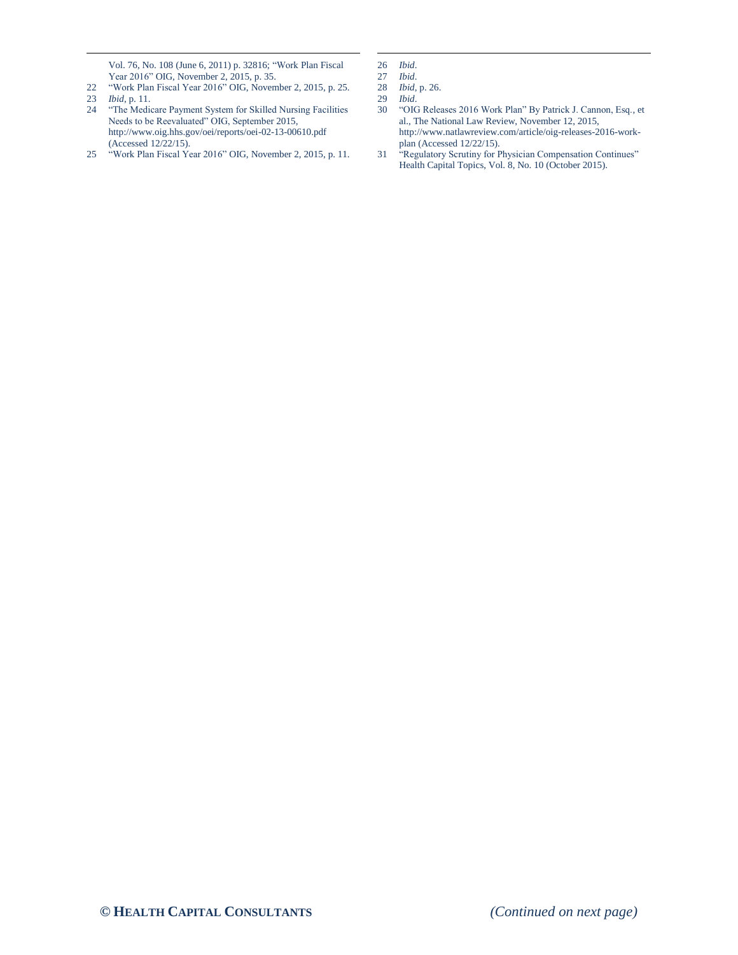Vol. 76, No. 108 (June 6, 2011) p. 32816; "Work Plan Fiscal Year 2016" OIG, November 2, 2015, p. 35.

22 "Work Plan Fiscal Year 2016" OIG, November 2, 2015, p. 25. 23 *Ibid*, p. 11.

 $\overline{a}$ 

- 24 "The Medicare Payment System for Skilled Nursing Facilities Needs to be Reevaluated" OIG, September 2015, http://www.oig.hhs.gov/oei/reports/oei-02-13-00610.pdf (Accessed 12/22/15).
- 25 "Work Plan Fiscal Year 2016" OIG, November 2, 2015, p. 11.

 $\overline{a}$ 

- 30 "OIG Releases 2016 Work Plan" By Patrick J. Cannon, Esq., et al., The National Law Review, November 12, 2015, http://www.natlawreview.com/article/oig-releases-2016-workplan (Accessed 12/22/15).
- 31 "Regulatory Scrutiny for Physician Compensation Continues" Health Capital Topics, Vol. 8, No. 10 (October 2015).

<sup>26</sup> *Ibid*.

<sup>27</sup> *Ibid*.

<sup>28</sup> *Ibid*, p. 26. *Ibid.*